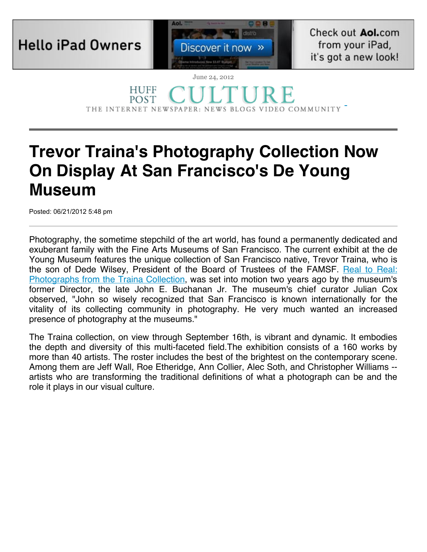

Check out Aol.com from your iPad, it's got a new look!

June 24, 2012 **HUFF** POST THE INTERNET NEWSPAP VIDEO COMMUNITY  $ER: NEWS$ **BLOGS** 

## **Trevor Traina's Photography Collection Now On Display At San Francisco's De Young Museum**

Posted: 06/21/2012 5:48 pm

Photography, the sometime stepchild of the art world, has found a permanently dedicated and exuberant family with the Fine Arts Museums of San Francisco. The current exhibit at the de Young Museum features the unique collection of San Francisco native, Trevor Traina, who is [the son of Dede Wilsey, President of the Board of Trustees of the FAMSF. Real to Real:](http://deyoung.famsf.org/) Photographs from the Traina Collection, was set into motion two years ago by the museum's former Director, the late John E. Buchanan Jr. The museum's chief curator Julian Cox observed, "John so wisely recognized that San Francisco is known internationally for the vitality of its collecting community in photography. He very much wanted an increased presence of photography at the museums."

The Traina collection, on view through September 16th, is vibrant and dynamic. It embodies the depth and diversity of this multi-faceted field.The exhibition consists of a 160 works by more than 40 artists. The roster includes the best of the brightest on the contemporary scene. Among them are Jeff Wall, Roe Etheridge, Ann Collier, Alec Soth, and Christopher Williams - artists who are transforming the traditional definitions of what a photograph can be and the role it plays in our visual culture.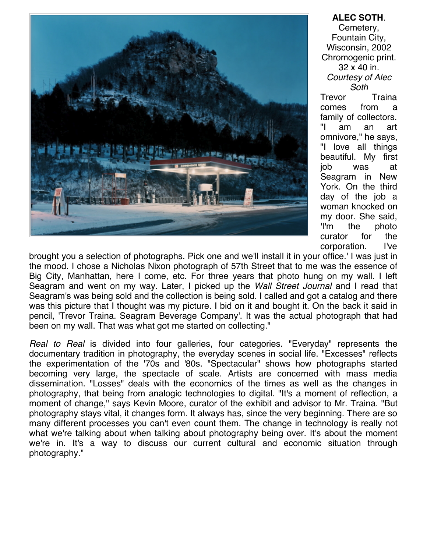

**ALEC SOTH**. Cemetery, Fountain City, Wisconsin, 2002 Chromogenic print. 32 x 40 in. *Courtesy of Alec Soth* Trevor Traina comes from a family of collectors. "I am an art omnivore," he says, "I love all things beautiful. My first job was at Seagram in New York. On the third day of the job a woman knocked on my door. She said, 'I'm the photo curator for the corporation. I've

brought you a selection of photographs. Pick one and we'll install it in your office.' I was just in the mood. I chose a Nicholas Nixon photograph of 57th Street that to me was the essence of Big City, Manhattan, here I come, etc. For three years that photo hung on my wall. I left Seagram and went on my way. Later, I picked up the *Wall Street Journal* and I read that Seagram's was being sold and the collection is being sold. I called and got a catalog and there was this picture that I thought was my picture. I bid on it and bought it. On the back it said in pencil, 'Trevor Traina. Seagram Beverage Company'. It was the actual photograph that had been on my wall. That was what got me started on collecting."

*Real to Real* is divided into four galleries, four categories. "Everyday" represents the documentary tradition in photography, the everyday scenes in social life. "Excesses" reflects the experimentation of the '70s and '80s. "Spectacular" shows how photographs started becoming very large, the spectacle of scale. Artists are concerned with mass media dissemination. "Losses" deals with the economics of the times as well as the changes in photography, that being from analogic technologies to digital. "It's a moment of reflection, a moment of change," says Kevin Moore, curator of the exhibit and advisor to Mr. Traina. "But photography stays vital, it changes form. It always has, since the very beginning. There are so many different processes you can't even count them. The change in technology is really not what we're talking about when talking about photography being over. It's about the moment we're in. It's a way to discuss our current cultural and economic situation through photography."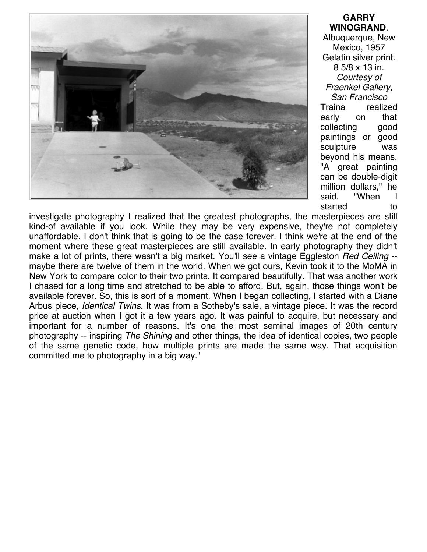

## **GARRY WINOGRAND**.

Albuquerque, New Mexico, 1957 Gelatin silver print. 8 5/8 x 13 in. *Courtesy of Fraenkel Gallery, San Francisco* Traina realized early on that collecting good paintings or good sculpture was beyond his means. "A great painting can be double-digit million dollars," he said. "When I started to

investigate photography I realized that the greatest photographs, the masterpieces are still kind-of available if you look. While they may be very expensive, they're not completely unaffordable. I don't think that is going to be the case forever. I think we're at the end of the moment where these great masterpieces are still available. In early photography they didn't make a lot of prints, there wasn't a big market. You'll see a vintage Eggleston *Red Ceiling* - maybe there are twelve of them in the world. When we got ours, Kevin took it to the MoMA in New York to compare color to their two prints. It compared beautifully. That was another work I chased for a long time and stretched to be able to afford. But, again, those things won't be available forever. So, this is sort of a moment. When I began collecting, I started with a Diane Arbus piece, *Identical Twins*. It was from a Sotheby's sale, a vintage piece. It was the record price at auction when I got it a few years ago. It was painful to acquire, but necessary and important for a number of reasons. It's one the most seminal images of 20th century photography -- inspiring *The Shining* and other things, the idea of identical copies, two people of the same genetic code, how multiple prints are made the same way. That acquisition committed me to photography in a big way."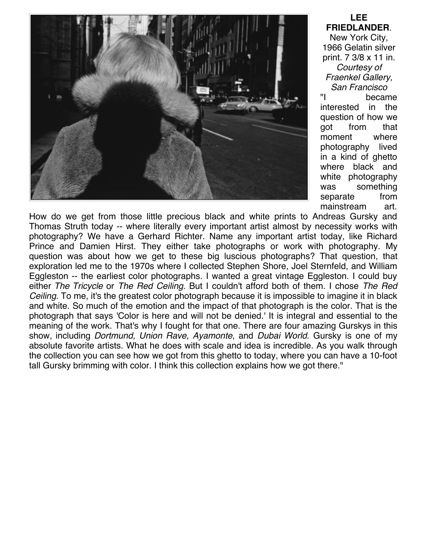

## **LEE FRIEDLANDER**. New York City, 1966 Gelatin silver print. 7 3/8 x 11 in. *Courtesy of Fraenkel Gallery,*

*San Francisco* "I became interested in the question of how we got from that moment where photography lived in a kind of ghetto where black and white photography was something separate from mainstream art.

How do we get from those little precious black and white prints to Andreas Gursky and Thomas Struth today -- where literally every important artist almost by necessity works with photography? We have a Gerhard Richter. Name any important artist today, like Richard Prince and Damien Hirst. They either take photographs or work with photography. My question was about how we get to these big luscious photographs? That question, that exploration led me to the 1970s where I collected Stephen Shore, Joel Sternfeld, and William Eggleston -- the earliest color photographs. I wanted a great vintage Eggleston. I could buy either *The Tricycle* or *The Red Ceiling*. But I couldn't afford both of them. I chose *The Red Ceiling*. To me, it's the greatest color photograph because it is impossible to imagine it in black and white. So much of the emotion and the impact of that photograph is the color. That is the photograph that says 'Color is here and will not be denied.' It is integral and essential to the meaning of the work. That's why I fought for that one. There are four amazing Gurskys in this show, including *Dortmund, Union Rave, Ayamonte*, and *Dubai World*. Gursky is one of my absolute favorite artists. What he does with scale and idea is incredible. As you walk through the collection you can see how we got from this ghetto to today, where you can have a 10-foot tall Gursky brimming with color. I think this collection explains how we got there."